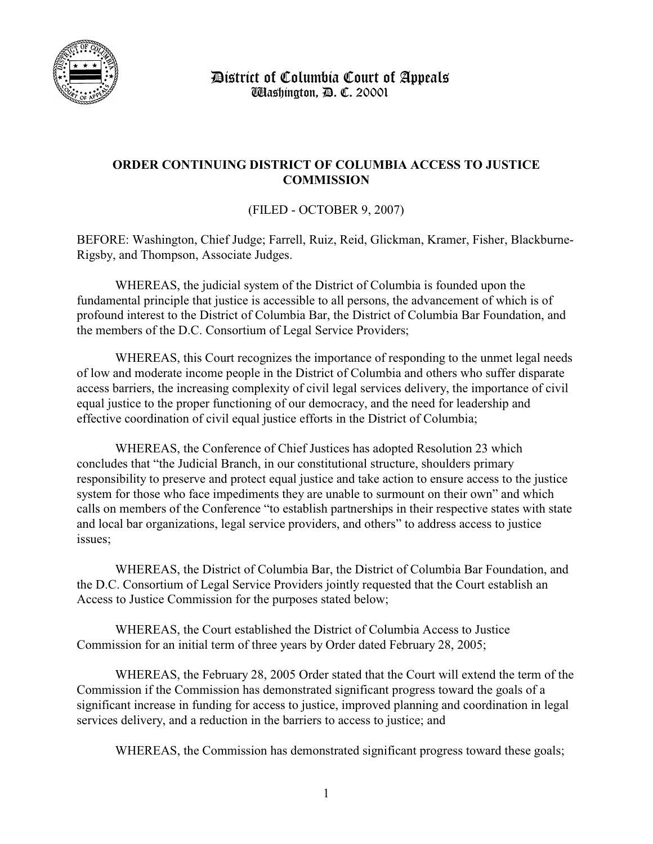

 District of Columbia Court of Appeals Washington, D. C. 20001

## **ORDER CONTINUING DISTRICT OF COLUMBIA ACCESS TO JUSTICE COMMISSION**

(FILED - OCTOBER 9, 2007)

BEFORE: Washington, Chief Judge; Farrell, Ruiz, Reid, Glickman, Kramer, Fisher, Blackburne-Rigsby, and Thompson, Associate Judges.

WHEREAS, the judicial system of the District of Columbia is founded upon the fundamental principle that justice is accessible to all persons, the advancement of which is of profound interest to the District of Columbia Bar, the District of Columbia Bar Foundation, and the members of the D.C. Consortium of Legal Service Providers;

WHEREAS, this Court recognizes the importance of responding to the unmet legal needs of low and moderate income people in the District of Columbia and others who suffer disparate access barriers, the increasing complexity of civil legal services delivery, the importance of civil equal justice to the proper functioning of our democracy, and the need for leadership and effective coordination of civil equal justice efforts in the District of Columbia;

WHEREAS, the Conference of Chief Justices has adopted Resolution 23 which concludes that "the Judicial Branch, in our constitutional structure, shoulders primary responsibility to preserve and protect equal justice and take action to ensure access to the justice system for those who face impediments they are unable to surmount on their own" and which calls on members of the Conference "to establish partnerships in their respective states with state and local bar organizations, legal service providers, and others" to address access to justice issues;

WHEREAS, the District of Columbia Bar, the District of Columbia Bar Foundation, and the D.C. Consortium of Legal Service Providers jointly requested that the Court establish an Access to Justice Commission for the purposes stated below;

WHEREAS, the Court established the District of Columbia Access to Justice Commission for an initial term of three years by Order dated February 28, 2005;

WHEREAS, the February 28, 2005 Order stated that the Court will extend the term of the Commission if the Commission has demonstrated significant progress toward the goals of a significant increase in funding for access to justice, improved planning and coordination in legal services delivery, and a reduction in the barriers to access to justice; and

WHEREAS, the Commission has demonstrated significant progress toward these goals;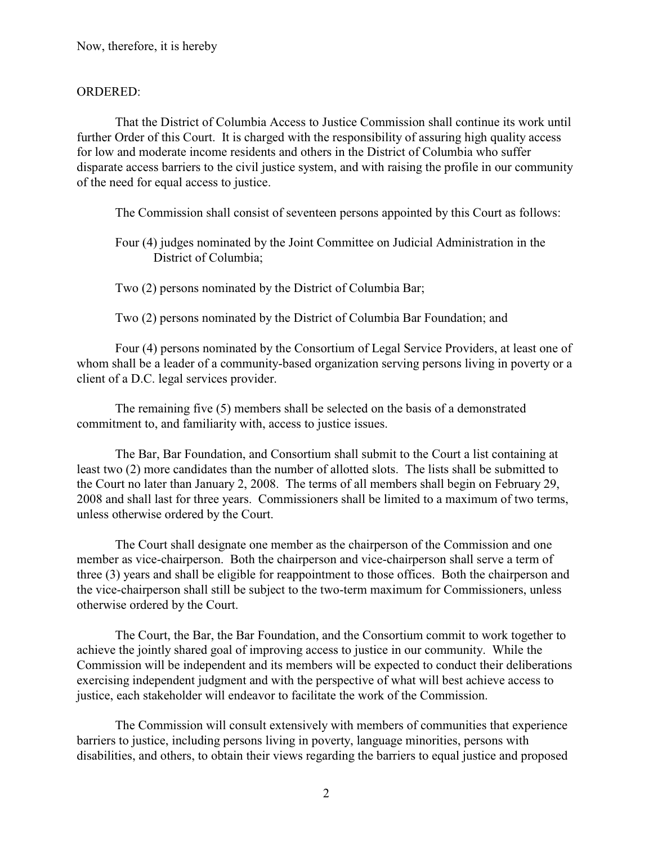## ORDERED:

That the District of Columbia Access to Justice Commission shall continue its work until further Order of this Court. It is charged with the responsibility of assuring high quality access for low and moderate income residents and others in the District of Columbia who suffer disparate access barriers to the civil justice system, and with raising the profile in our community of the need for equal access to justice.

The Commission shall consist of seventeen persons appointed by this Court as follows:

Four (4) judges nominated by the Joint Committee on Judicial Administration in the District of Columbia;

Two (2) persons nominated by the District of Columbia Bar;

Two (2) persons nominated by the District of Columbia Bar Foundation; and

Four (4) persons nominated by the Consortium of Legal Service Providers, at least one of whom shall be a leader of a community-based organization serving persons living in poverty or a client of a D.C. legal services provider.

The remaining five (5) members shall be selected on the basis of a demonstrated commitment to, and familiarity with, access to justice issues.

The Bar, Bar Foundation, and Consortium shall submit to the Court a list containing at least two (2) more candidates than the number of allotted slots. The lists shall be submitted to the Court no later than January 2, 2008. The terms of all members shall begin on February 29, 2008 and shall last for three years. Commissioners shall be limited to a maximum of two terms, unless otherwise ordered by the Court.

The Court shall designate one member as the chairperson of the Commission and one member as vice-chairperson. Both the chairperson and vice-chairperson shall serve a term of three (3) years and shall be eligible for reappointment to those offices. Both the chairperson and the vice-chairperson shall still be subject to the two-term maximum for Commissioners, unless otherwise ordered by the Court.

The Court, the Bar, the Bar Foundation, and the Consortium commit to work together to achieve the jointly shared goal of improving access to justice in our community. While the Commission will be independent and its members will be expected to conduct their deliberations exercising independent judgment and with the perspective of what will best achieve access to justice, each stakeholder will endeavor to facilitate the work of the Commission.

The Commission will consult extensively with members of communities that experience barriers to justice, including persons living in poverty, language minorities, persons with disabilities, and others, to obtain their views regarding the barriers to equal justice and proposed